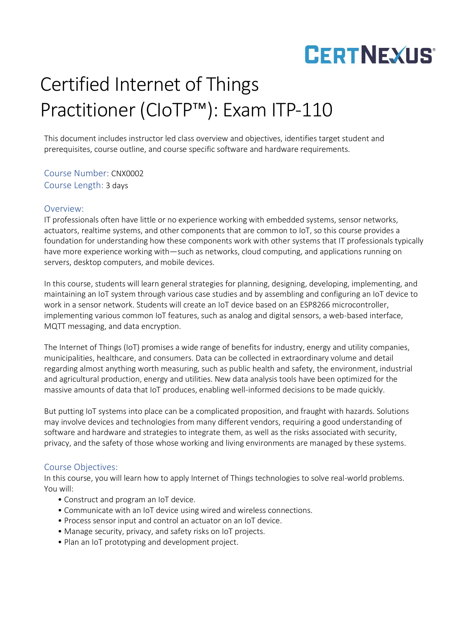## Certified Internet of Things Practitioner (CIoTP™): Exam ITP-110

This document includes instructor led class overview and objectives, identifies target student and prerequisites, course outline, and course specific software and hardware requirements.

Course Number: CNX0002 Course Length: 3 days

### Overview:

IT professionals often have little or no experience working with embedded systems, sensor networks, actuators, realtime systems, and other components that are common to IoT, so this course provides a foundation for understanding how these components work with other systems that IT professionals typically have more experience working with—such as networks, cloud computing, and applications running on servers, desktop computers, and mobile devices.

In this course, students will learn general strategies for planning, designing, developing, implementing, and maintaining an IoT system through various case studies and by assembling and configuring an IoT device to work in a sensor network. Students will create an IoT device based on an ESP8266 microcontroller, implementing various common IoT features, such as analog and digital sensors, a web-based interface, MQTT messaging, and data encryption.

The Internet of Things (IoT) promises a wide range of benefits for industry, energy and utility companies, municipalities, healthcare, and consumers. Data can be collected in extraordinary volume and detail regarding almost anything worth measuring, such as public health and safety, the environment, industrial and agricultural production, energy and utilities. New data analysis tools have been optimized for the massive amounts of data that IoT produces, enabling well-informed decisions to be made quickly.

But putting IoT systems into place can be a complicated proposition, and fraught with hazards. Solutions may involve devices and technologies from many different vendors, requiring a good understanding of software and hardware and strategies to integrate them, as well as the risks associated with security, privacy, and the safety of those whose working and living environments are managed by these systems.

## Course Objectives:

In this course, you will learn how to apply Internet of Things technologies to solve real-world problems. You will:

- Construct and program an IoT device.
- Communicate with an IoT device using wired and wireless connections.
- Process sensor input and control an actuator on an IoT device.
- Manage security, privacy, and safety risks on IoT projects.
- Plan an IoT prototyping and development project.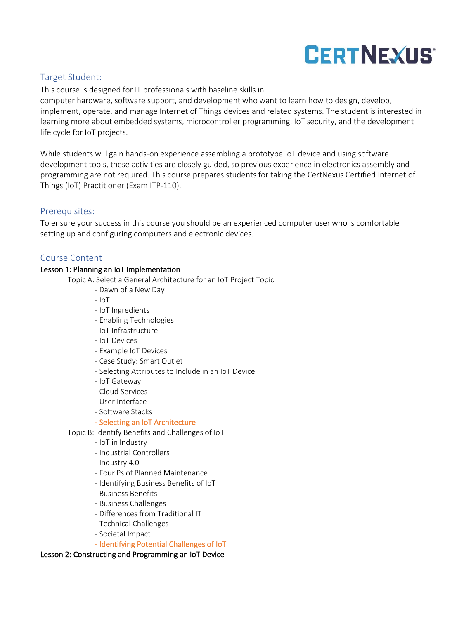## Target Student:

This course is designed for IT professionals with baseline skills in

computer hardware, software support, and development who want to learn how to design, develop, implement, operate, and manage Internet of Things devices and related systems. The student is interested in learning more about embedded systems, microcontroller programming, IoT security, and the development life cycle for IoT projects.

While students will gain hands-on experience assembling a prototype IoT device and using software development tools, these activities are closely guided, so previous experience in electronics assembly and programming are not required. This course prepares students for taking the CertNexus Certified Internet of Things (IoT) Practitioner (Exam ITP-110).

### Prerequisites:

To ensure your success in this course you should be an experienced computer user who is comfortable setting up and configuring computers and electronic devices.

### Course Content

#### Lesson 1: Planning an IoT Implementation

Topic A: Select a General Architecture for an IoT Project Topic

- Dawn of a New Day
- IoT
- IoT Ingredients
- Enabling Technologies
- IoT Infrastructure
- IoT Devices
- Example IoT Devices
- Case Study: Smart Outlet
- Selecting Attributes to Include in an IoT Device
- IoT Gateway
- Cloud Services
- User Interface
- Software Stacks

#### - Selecting an IoT Architecture

- Topic B: Identify Benefits and Challenges of IoT
	- IoT in Industry
	- Industrial Controllers
	- Industry 4.0
	- Four Ps of Planned Maintenance
	- Identifying Business Benefits of IoT
	- Business Benefits
	- Business Challenges
	- Differences from Traditional IT
	- Technical Challenges
	- Societal Impact
	- Identifying Potential Challenges of IoT

#### Lesson 2: Constructing and Programming an IoT Device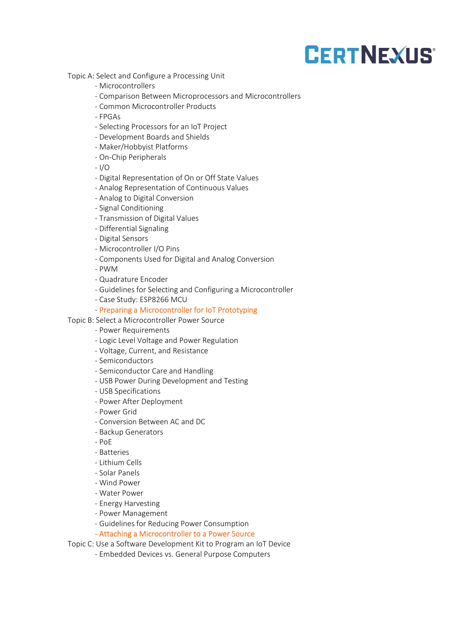Topic A: Select and Configure a Processing Unit

- Microcontrollers
- Comparison Between Microprocessors and Microcontrollers
- Common Microcontroller Products
- FPGAs
- Selecting Processors for an IoT Project
- Development Boards and Shields
- Maker/Hobbyist Platforms
- On-Chip Peripherals

- I/O

- Digital Representation of On or Off State Values
- Analog Representation of Continuous Values
- Analog to Digital Conversion
- Signal Conditioning
- Transmission of Digital Values
- Differential Signaling
- Digital Sensors
- Microcontroller I/O Pins
- Components Used for Digital and Analog Conversion

- PWM

- Quadrature Encoder
- Guidelines for Selecting and Configuring a Microcontroller
- Case Study: ESP8266 MCU

#### - Preparing a Microcontroller for IoT Prototyping

- Topic B: Select a Microcontroller Power Source
	- Power Requirements
	- Logic Level Voltage and Power Regulation
	- Voltage, Current, and Resistance
	- Semiconductors
	- Semiconductor Care and Handling
	- USB Power During Development and Testing
	- USB Specifications
	- Power After Deployment
	- Power Grid
	- Conversion Between AC and DC
	- Backup Generators
	- $P<sub>0</sub>F$
	- Batteries
	- Lithium Cells
	- Solar Panels
	- Wind Power
	- Water Power
	- Energy Harvesting
	- Power Management
	- Guidelines for Reducing Power Consumption
	- Attaching a Microcontroller to a Power Source

Topic C: Use a Software Development Kit to Program an IoT Device

- Embedded Devices vs. General Purpose Computers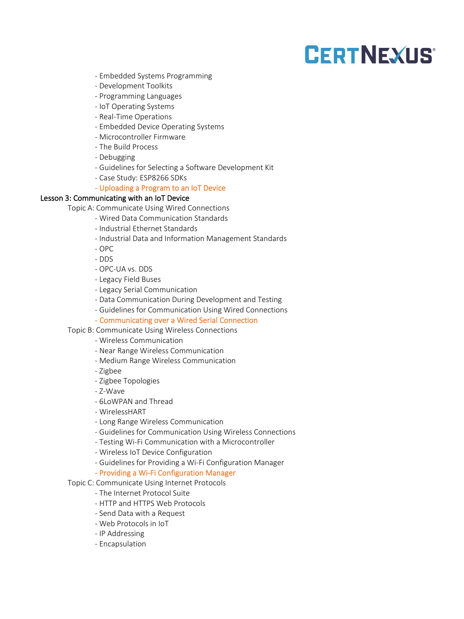- Embedded Systems Programming
- Development Toolkits
- Programming Languages
- IoT Operating Systems
- Real-Time Operations
- Embedded Device Operating Systems
- Microcontroller Firmware
- The Build Process
- Debugging
- Guidelines for Selecting a Software Development Kit
- Case Study: ESP8266 SDKs

#### - Uploading a Program to an IoT Device

#### Lesson 3: Communicating with an IoT Device

Topic A: Communicate Using Wired Connections

- Wired Data Communication Standards
- Industrial Ethernet Standards
- Industrial Data and Information Management Standards
- OPC
- DDS
- OPC-UA vs. DDS
- Legacy Field Buses
- Legacy Serial Communication
- Data Communication During Development and Testing
- Guidelines for Communication Using Wired Connections
- Communicating over a Wired Serial Connection
- Topic B: Communicate Using Wireless Connections
	- Wireless Communication
	- Near Range Wireless Communication
	- Medium Range Wireless Communication
	- Zigbee
	- Zigbee Topologies
	- Z-Wave
	- 6LoWPAN and Thread
	- WirelessHART
	- Long Range Wireless Communication
	- Guidelines for Communication Using Wireless Connections
	- Testing Wi-Fi Communication with a Microcontroller
	- Wireless IoT Device Configuration
	- Guidelines for Providing a Wi-Fi Configuration Manager

#### - Providing a Wi-Fi Configuration Manager

- Topic C: Communicate Using Internet Protocols
	- The Internet Protocol Suite
	- HTTP and HTTPS Web Protocols
	- Send Data with a Request
	- Web Protocols in IoT
	- IP Addressing
	- Encapsulation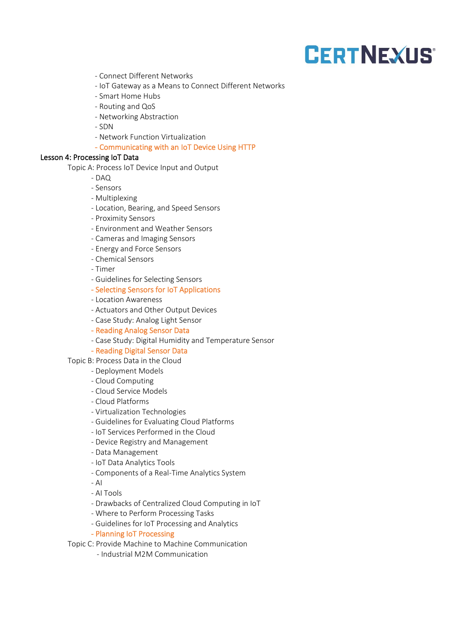- Connect Different Networks
- IoT Gateway as a Means to Connect Different Networks
- Smart Home Hubs
- Routing and QoS
- Networking Abstraction
- SDN
- Network Function Virtualization
- Communicating with an IoT Device Using HTTP

#### Lesson 4: Processing IoT Data

Topic A: Process IoT Device Input and Output

- $-$  DAO
- Sensors
- Multiplexing
- Location, Bearing, and Speed Sensors
- Proximity Sensors
- Environment and Weather Sensors
- Cameras and Imaging Sensors
- Energy and Force Sensors
- Chemical Sensors
- Timer
- Guidelines for Selecting Sensors
- Selecting Sensors for IoT Applications
- Location Awareness
- Actuators and Other Output Devices
- Case Study: Analog Light Sensor
- Reading Analog Sensor Data
- Case Study: Digital Humidity and Temperature Sensor

#### - Reading Digital Sensor Data

Topic B: Process Data in the Cloud

- Deployment Models
- Cloud Computing
- Cloud Service Models
- Cloud Platforms
- Virtualization Technologies
- Guidelines for Evaluating Cloud Platforms
- IoT Services Performed in the Cloud
- Device Registry and Management
- Data Management
- IoT Data Analytics Tools
- Components of a Real-Time Analytics System

- AI

- AI Tools
- Drawbacks of Centralized Cloud Computing in IoT
- Where to Perform Processing Tasks
- Guidelines for IoT Processing and Analytics
- Planning IoT Processing

Topic C: Provide Machine to Machine Communication

- Industrial M2M Communication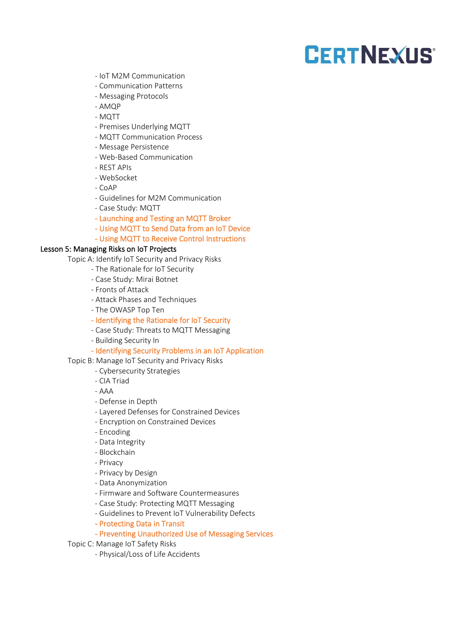- IoT M2M Communication
- Communication Patterns
- Messaging Protocols
- AMQP
- MQTT
- Premises Underlying MQTT
- MQTT Communication Process
- Message Persistence
- Web-Based Communication
- REST APIs
- WebSocket
- CoAP
- Guidelines for M2M Communication
- Case Study: MQTT
- Launching and Testing an MQTT Broker
- Using MQTT to Send Data from an IoT Device
- Using MQTT to Receive Control Instructions

#### Lesson 5: Managing Risks on IoT Projects

Topic A: Identify IoT Security and Privacy Risks

- The Rationale for IoT Security
- Case Study: Mirai Botnet
- Fronts of Attack
- Attack Phases and Techniques
- The OWASP Top Ten
- Identifying the Rationale for IoT Security
- Case Study: Threats to MQTT Messaging
- Building Security In

#### - Identifying Security Problems in an IoT Application

Topic B: Manage IoT Security and Privacy Risks

- Cybersecurity Strategies
- CIA Triad
- AAA
- Defense in Depth
- Layered Defenses for Constrained Devices
- Encryption on Constrained Devices
- Encoding
- Data Integrity
- Blockchain
- Privacy
- Privacy by Design
- Data Anonymization
- Firmware and Software Countermeasures
- Case Study: Protecting MQTT Messaging
- Guidelines to Prevent IoT Vulnerability Defects
- Protecting Data in Transit

### - Preventing Unauthorized Use of Messaging Services

Topic C: Manage IoT Safety Risks

- Physical/Loss of Life Accidents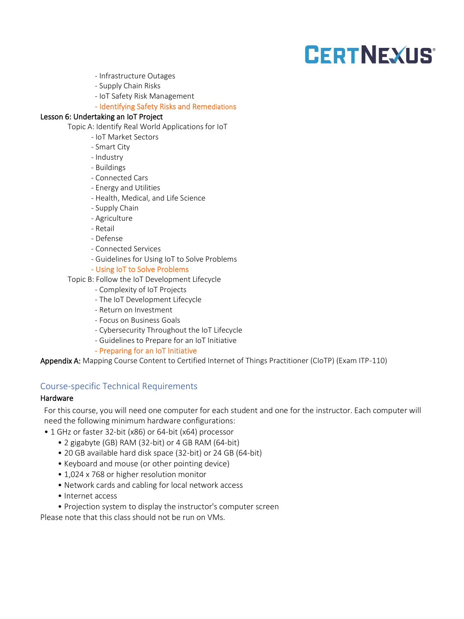- Infrastructure Outages
- Supply Chain Risks
- IoT Safety Risk Management
- Identifying Safety Risks and Remediations

#### Lesson 6: Undertaking an IoT Project

Topic A: Identify Real World Applications for IoT

- IoT Market Sectors
- Smart City
- Industry
- Buildings
- Connected Cars
- Energy and Utilities
- Health, Medical, and Life Science
- Supply Chain
- Agriculture
- Retail
- Defense
- Connected Services
- Guidelines for Using IoT to Solve Problems

#### - Using IoT to Solve Problems

Topic B: Follow the IoT Development Lifecycle

- Complexity of IoT Projects
- The IoT Development Lifecycle
- Return on Investment
- Focus on Business Goals
- Cybersecurity Throughout the IoT Lifecycle
- Guidelines to Prepare for an IoT Initiative
- Preparing for an IoT Initiative

Appendix A: Mapping Course Content to Certified Internet of Things Practitioner (CIoTP) (Exam ITP-110)

### Course-specific Technical Requirements

#### **Hardware**

For this course, you will need one computer for each student and one for the instructor. Each computer will need the following minimum hardware configurations:

- 1 GHz or faster 32-bit (x86) or 64-bit (x64) processor
	- 2 gigabyte (GB) RAM (32-bit) or 4 GB RAM (64-bit)
	- 20 GB available hard disk space (32-bit) or 24 GB (64-bit)
	- Keyboard and mouse (or other pointing device)
	- 1,024 x 768 or higher resolution monitor
	- Network cards and cabling for local network access
	- Internet access
	- Projection system to display the instructor's computer screen

Please note that this class should not be run on VMs.